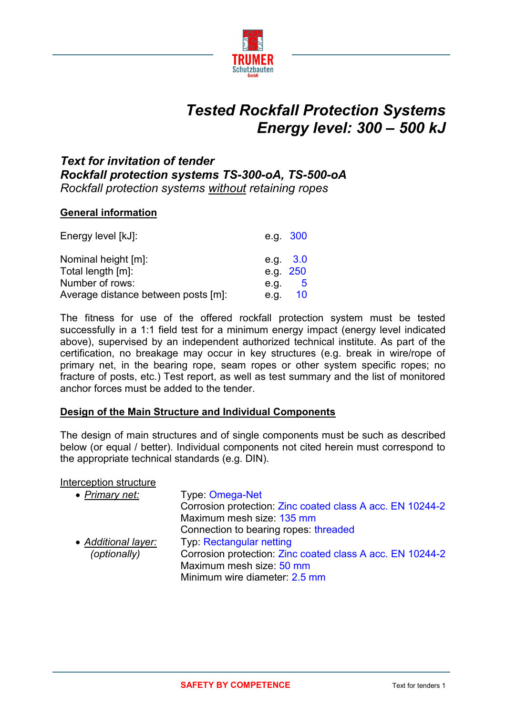

# *Tested Rockfall Protection Systems Energy level: 300 – 500 kJ*

## *Text for invitation of tender Rockfall protection systems TS-300-oA, TS-500-oA Rockfall protection systems without retaining ropes*

#### **General information**

| Energy level [kJ]:                  |      | e.g. 300   |
|-------------------------------------|------|------------|
| Nominal height [m]:                 |      | e.g. $3.0$ |
| Total length [m]:                   |      | e.g. 250   |
| Number of rows:                     | e.g. | - 5        |
| Average distance between posts [m]: | e.g. | 10         |

The fitness for use of the offered rockfall protection system must be tested successfully in a 1:1 field test for a minimum energy impact (energy level indicated above), supervised by an independent authorized technical institute. As part of the certification, no breakage may occur in key structures (e.g. break in wire/rope of primary net, in the bearing rope, seam ropes or other system specific ropes; no fracture of posts, etc.) Test report, as well as test summary and the list of monitored anchor forces must be added to the tender.

#### **Design of the Main Structure and Individual Components**

The design of main structures and of single components must be such as described below (or equal / better). Individual components not cited herein must correspond to the appropriate technical standards (e.g. DIN).

#### Interception structure

| • Primary net:      | Type: Omega-Net                                           |
|---------------------|-----------------------------------------------------------|
|                     | Corrosion protection: Zinc coated class A acc. EN 10244-2 |
|                     | Maximum mesh size: 135 mm                                 |
|                     | Connection to bearing ropes: threaded                     |
| • Additional layer: | Typ: Rectangular netting                                  |
| (optionally)        | Corrosion protection: Zinc coated class A acc. EN 10244-2 |
|                     | Maximum mesh size: 50 mm                                  |
|                     | Minimum wire diameter: 2.5 mm                             |
|                     |                                                           |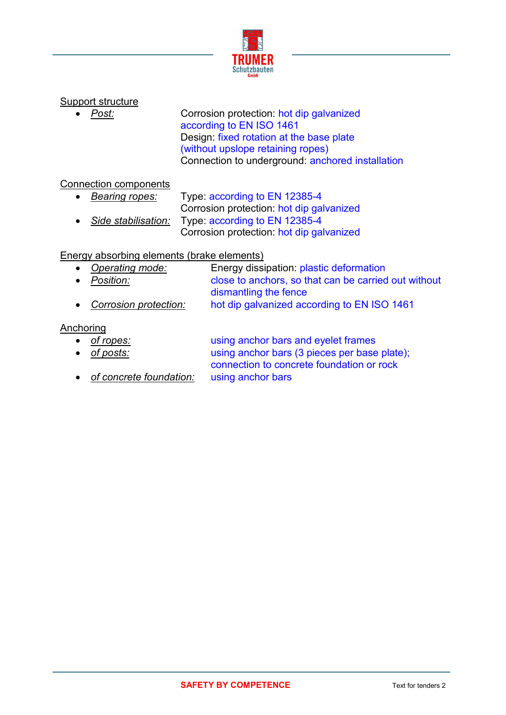

## Support structure

**Post:** Corrosion protection: hot dip galvanized according to EN ISO 1461 Design: fixed rotation at the base plate (without upslope retaining ropes) Connection to underground: anchored installation

### Connection components

 *Bearing ropes:* Type: according to EN 12385-4 Corrosion protection: hot dip galvanized *Side stabilisation:* Type: according to EN 12385-4 Corrosion protection: hot dip galvanized

### Energy absorbing elements (brake elements)

- *Operating mode:* Energy dissipation: plastic deformation *Position:* close to anchors, so that can be carried out without
- dismantling the fence
- *Corrosion protection:* hot dip galvanized according to EN ISO 1461

#### Anchoring

- *of ropes:* using anchor bars and eyelet frames
- 

 *of posts:* using anchor bars (3 pieces per base plate); connection to concrete foundation or rock *of concrete foundation:* using anchor bars